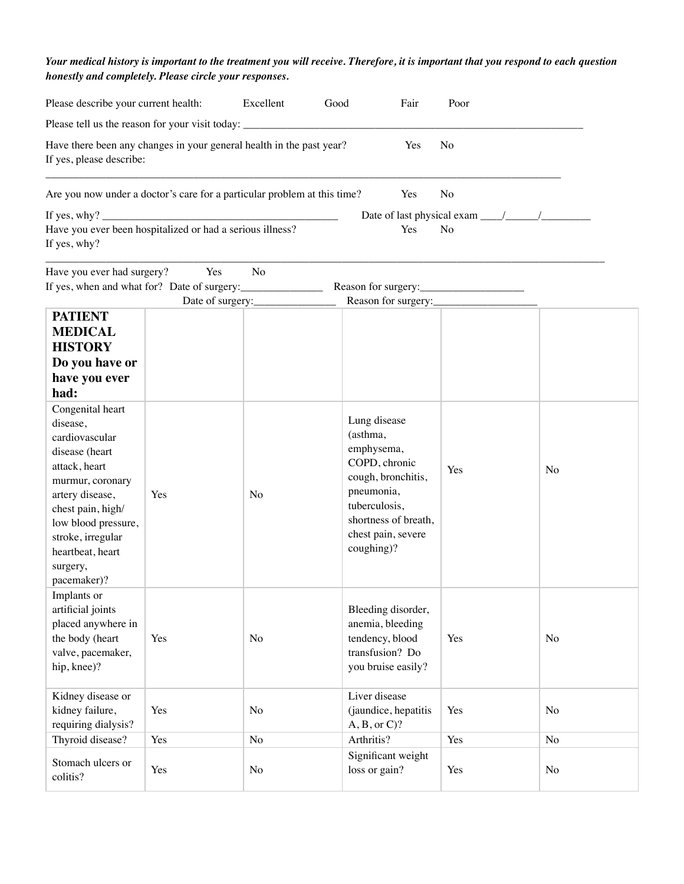## *Your medical history is important to the treatment you will receive. Therefore, it is important that you respond to each question honestly and completely. Please circle your responses.*

| Please describe your current health:                                                                                                                                                                                                     |     | Excellent<br>Good                  | Fair                                                                                                                                                                     | Poor           |                |
|------------------------------------------------------------------------------------------------------------------------------------------------------------------------------------------------------------------------------------------|-----|------------------------------------|--------------------------------------------------------------------------------------------------------------------------------------------------------------------------|----------------|----------------|
| Please tell us the reason for your visit today: _________________________________                                                                                                                                                        |     |                                    |                                                                                                                                                                          |                |                |
| Have there been any changes in your general health in the past year?<br>Yes<br>No<br>If yes, please describe:                                                                                                                            |     |                                    |                                                                                                                                                                          |                |                |
| Are you now under a doctor's care for a particular problem at this time?                                                                                                                                                                 |     |                                    | Yes                                                                                                                                                                      | N <sub>o</sub> |                |
| Have you ever been hospitalized or had a serious illness?                                                                                                                                                                                |     |                                    | Yes                                                                                                                                                                      | N <sub>o</sub> |                |
| If yes, why?                                                                                                                                                                                                                             |     |                                    |                                                                                                                                                                          |                |                |
| Have you ever had surgery?                                                                                                                                                                                                               | Yes | N <sub>o</sub><br>Date of surgery: | Reason for surgery:                                                                                                                                                      |                |                |
| <b>PATIENT</b>                                                                                                                                                                                                                           |     |                                    |                                                                                                                                                                          |                |                |
| <b>MEDICAL</b><br><b>HISTORY</b><br>Do you have or<br>have you ever<br>had:                                                                                                                                                              |     |                                    |                                                                                                                                                                          |                |                |
| Congenital heart<br>disease,<br>cardiovascular<br>disease (heart<br>attack, heart<br>murmur, coronary<br>artery disease,<br>chest pain, high/<br>low blood pressure,<br>stroke, irregular<br>heartbeat, heart<br>surgery,<br>pacemaker)? | Yes | No                                 | Lung disease<br>(asthma,<br>emphysema,<br>COPD, chronic<br>cough, bronchitis,<br>pneumonia,<br>tuberculosis,<br>shortness of breath,<br>chest pain, severe<br>coughing)? | Yes            | No             |
| Implants or<br>artificial joints<br>placed anywhere in<br>the body (heart<br>valve, pacemaker,<br>hip, knee)?                                                                                                                            | Yes | N <sub>o</sub>                     | Bleeding disorder,<br>anemia, bleeding<br>tendency, blood<br>transfusion? Do<br>you bruise easily?                                                                       | Yes            | N <sub>o</sub> |
| Kidney disease or<br>kidney failure,<br>requiring dialysis?                                                                                                                                                                              | Yes | No                                 | Liver disease<br>(jaundice, hepatitis<br>$A, B, or C$ ?                                                                                                                  | Yes            | No             |
| Thyroid disease?                                                                                                                                                                                                                         | Yes | No                                 | Arthritis?                                                                                                                                                               | Yes            | No             |
| Stomach ulcers or<br>colitis?                                                                                                                                                                                                            | Yes | No                                 | Significant weight<br>loss or gain?                                                                                                                                      | Yes            | No             |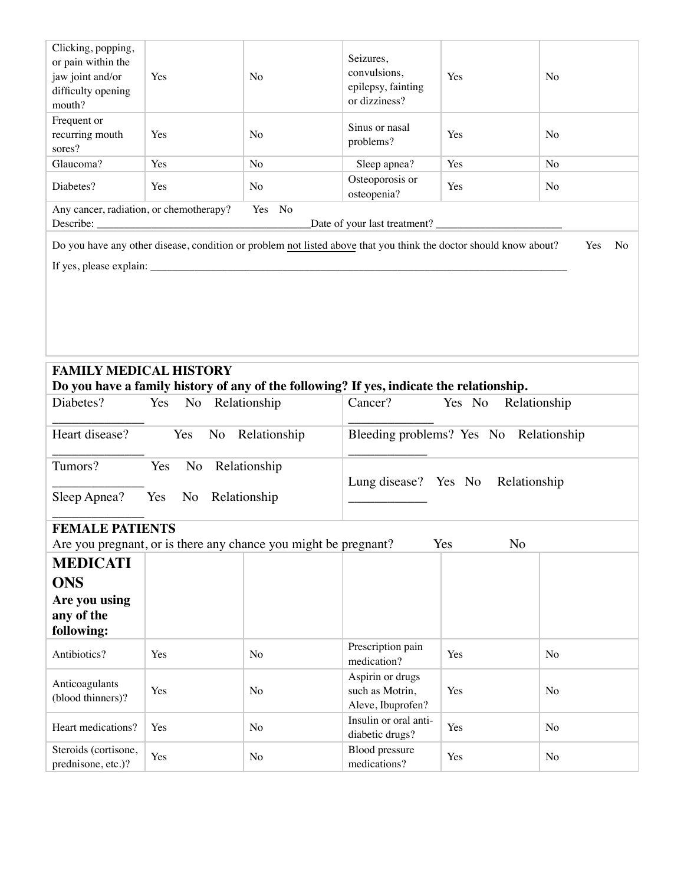| Clicking, popping,<br>or pain within the<br>jaw joint and/or<br>difficulty opening<br>mouth? | Yes                 | N <sub>o</sub>                                                                                                                                                                                                                                                                                                                                                                                                                                                                                                              | Seizures,<br>convulsions,<br>epilepsy, fainting<br>or dizziness? | Yes                    | No             |
|----------------------------------------------------------------------------------------------|---------------------|-----------------------------------------------------------------------------------------------------------------------------------------------------------------------------------------------------------------------------------------------------------------------------------------------------------------------------------------------------------------------------------------------------------------------------------------------------------------------------------------------------------------------------|------------------------------------------------------------------|------------------------|----------------|
| Frequent or<br>recurring mouth<br>sores?                                                     | Yes                 | No                                                                                                                                                                                                                                                                                                                                                                                                                                                                                                                          | Sinus or nasal<br>problems?                                      | Yes                    | N <sub>o</sub> |
| Glaucoma?                                                                                    | Yes                 | N <sub>o</sub>                                                                                                                                                                                                                                                                                                                                                                                                                                                                                                              | Sleep apnea?                                                     | Yes                    | No             |
| Diabetes?                                                                                    | Yes                 | No                                                                                                                                                                                                                                                                                                                                                                                                                                                                                                                          | Osteoporosis or<br>osteopenia?                                   | Yes                    | No             |
| Any cancer, radiation, or chemotherapy?                                                      |                     | Yes No                                                                                                                                                                                                                                                                                                                                                                                                                                                                                                                      |                                                                  |                        |                |
|                                                                                              |                     |                                                                                                                                                                                                                                                                                                                                                                                                                                                                                                                             | Date of your last treatment?                                     |                        |                |
|                                                                                              |                     | Do you have any other disease, condition or problem not listed above that you think the doctor should know about?<br>If yes, please explain: $\frac{1}{\sqrt{1-\frac{1}{2}}}\left\{ \frac{1}{2}, \frac{1}{2}, \frac{1}{2}, \frac{1}{2}, \frac{1}{2}, \frac{1}{2}, \frac{1}{2}, \frac{1}{2}, \frac{1}{2}, \frac{1}{2}, \frac{1}{2}, \frac{1}{2}, \frac{1}{2}, \frac{1}{2}, \frac{1}{2}, \frac{1}{2}, \frac{1}{2}, \frac{1}{2}, \frac{1}{2}, \frac{1}{2}, \frac{1}{2}, \frac{1}{2}, \frac{1}{2}, \frac{1}{2}, \frac{1}{2}, \$ |                                                                  |                        | Yes<br>No      |
|                                                                                              |                     |                                                                                                                                                                                                                                                                                                                                                                                                                                                                                                                             |                                                                  |                        |                |
| <b>FAMILY MEDICAL HISTORY</b>                                                                |                     | Do you have a family history of any of the following? If yes, indicate the relationship.                                                                                                                                                                                                                                                                                                                                                                                                                                    |                                                                  |                        |                |
| Diabetes?                                                                                    | Yes No Relationship |                                                                                                                                                                                                                                                                                                                                                                                                                                                                                                                             | Cancer?                                                          | Yes No<br>Relationship |                |
|                                                                                              |                     |                                                                                                                                                                                                                                                                                                                                                                                                                                                                                                                             |                                                                  |                        |                |
| Heart disease?<br>Yes<br>No Relationship                                                     |                     | Bleeding problems? Yes No Relationship                                                                                                                                                                                                                                                                                                                                                                                                                                                                                      |                                                                  |                        |                |
| Tumors?<br>No<br>Relationship<br>Yes<br>Sleep Apnea?<br>Yes<br>No Relationship               |                     | Lung disease? Yes No Relationship                                                                                                                                                                                                                                                                                                                                                                                                                                                                                           |                                                                  |                        |                |
| <b>FEMALE PATIENTS</b>                                                                       |                     |                                                                                                                                                                                                                                                                                                                                                                                                                                                                                                                             |                                                                  |                        |                |
| Are you pregnant, or is there any chance you might be pregnant?<br>Yes<br>N <sub>o</sub>     |                     |                                                                                                                                                                                                                                                                                                                                                                                                                                                                                                                             |                                                                  |                        |                |
| <b>MEDICATI</b><br><b>ONS</b><br>Are you using<br>any of the<br>following:                   |                     |                                                                                                                                                                                                                                                                                                                                                                                                                                                                                                                             |                                                                  |                        |                |
| Antibiotics?                                                                                 | Yes                 | N <sub>o</sub>                                                                                                                                                                                                                                                                                                                                                                                                                                                                                                              | Prescription pain<br>medication?                                 | Yes                    | No             |
| Anticoagulants<br>(blood thinners)?                                                          | Yes                 | No                                                                                                                                                                                                                                                                                                                                                                                                                                                                                                                          | Aspirin or drugs<br>such as Motrin,<br>Aleve, Ibuprofen?         | Yes                    | No             |
| Heart medications?                                                                           | Yes                 | N <sub>o</sub>                                                                                                                                                                                                                                                                                                                                                                                                                                                                                                              | Insulin or oral anti-<br>diabetic drugs?                         | Yes                    | No             |
| Steroids (cortisone,<br>prednisone, etc.)?                                                   | Yes                 | No                                                                                                                                                                                                                                                                                                                                                                                                                                                                                                                          | <b>Blood</b> pressure<br>medications?                            | Yes                    | No             |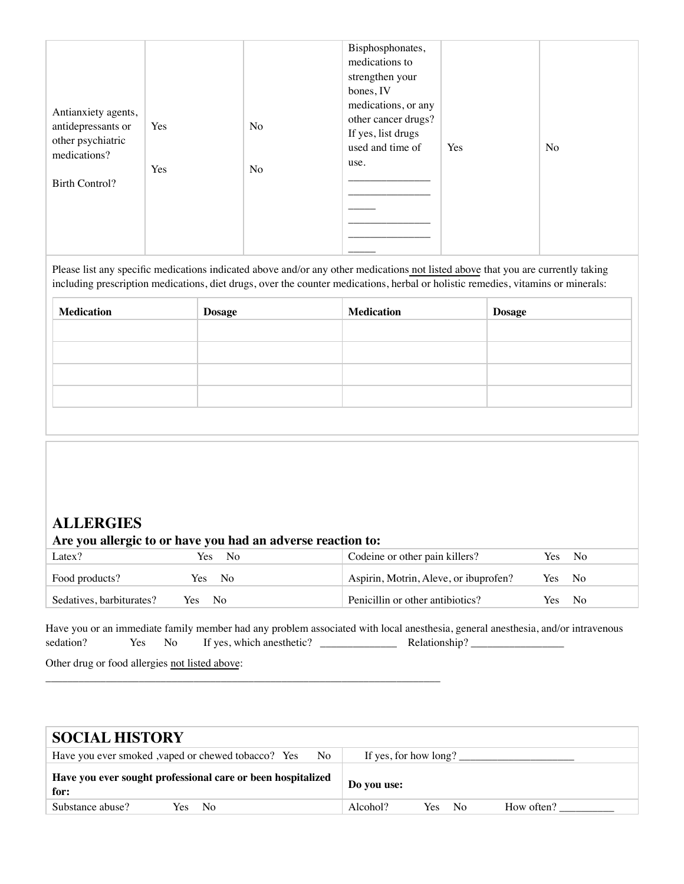| Antianxiety agents,<br>antidepressants or<br>other psychiatric<br>medications?<br><b>Birth Control?</b> | Yes<br>Yes | No<br>No | Bisphosphonates,<br>medications to<br>strengthen your<br>bones, IV<br>medications, or any<br>other cancer drugs?<br>If yes, list drugs<br>used and time of<br>use. | Yes | No |
|---------------------------------------------------------------------------------------------------------|------------|----------|--------------------------------------------------------------------------------------------------------------------------------------------------------------------|-----|----|
|---------------------------------------------------------------------------------------------------------|------------|----------|--------------------------------------------------------------------------------------------------------------------------------------------------------------------|-----|----|

Please list any specific medications indicated above and/or any other medications not listed above that you are currently taking including prescription medications, diet drugs, over the counter medications, herbal or holistic remedies, vitamins or minerals:

| <b>Dosage</b> | <b>Medication</b> | <b>Dosage</b> |
|---------------|-------------------|---------------|
|               |                   |               |
|               |                   |               |
|               |                   |               |
|               |                   |               |
|               |                   |               |

## **ALLERGIES**

| Are you allergic to or have you had an adverse reaction to: |              |                                       |      |                |
|-------------------------------------------------------------|--------------|---------------------------------------|------|----------------|
| Latex?                                                      | Yes.<br>- No | Codeine or other pain killers?        | Yes. | N <sub>0</sub> |
| Food products?                                              | Yes No       | Aspirin, Motrin, Aleve, or ibuprofen? |      | Yes No         |
| Sedatives, barbiturates?                                    | Yes No       | Penicillin or other antibiotics?      | Yes: | $N_{\Omega}$   |

Have you or an immediate family member had any problem associated with local anesthesia, general anesthesia, and/or intravenous sedation? Yes No If yes, which anesthetic? \_\_\_\_\_\_\_\_\_\_\_\_\_\_ Relationship? \_\_\_\_\_\_\_\_\_\_\_\_\_\_\_\_\_

\_\_\_\_\_\_\_\_\_\_\_\_\_\_\_\_\_\_\_\_\_\_\_\_\_\_\_\_\_\_\_\_\_\_\_\_\_\_\_\_\_\_\_\_\_\_\_\_\_\_\_\_\_\_\_\_\_\_\_\_\_\_\_\_\_\_\_\_\_\_\_\_

Other drug or food allergies not listed above:

| <b>SOCIAL HISTORY</b>                                               |                                                  |
|---------------------------------------------------------------------|--------------------------------------------------|
| Have you ever smoked , vaped or chewed tobacco? Yes<br>No.          | If yes, for how long?                            |
| Have you ever sought professional care or been hospitalized<br>for: | Do you use:                                      |
| Substance abuse?<br>Yes No                                          | Alcohol?<br>Yes.<br>How often?<br>N <sub>0</sub> |